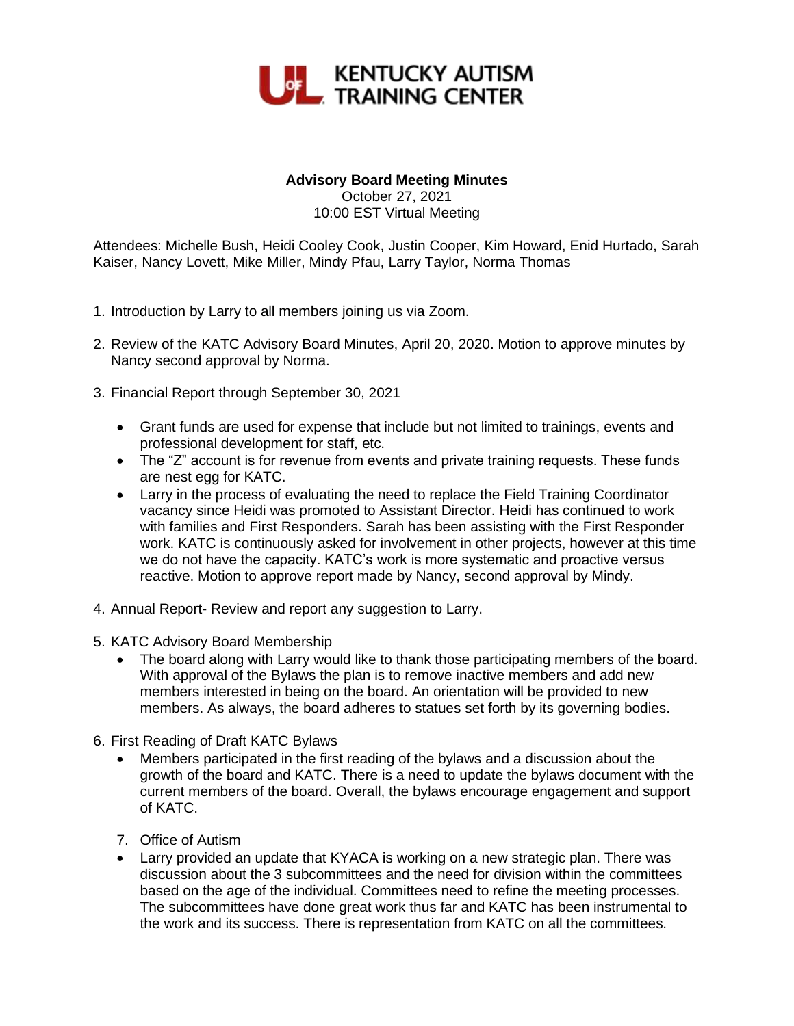

## **Advisory Board Meeting Minutes**

October 27, 2021 10:00 EST Virtual Meeting

Attendees: Michelle Bush, Heidi Cooley Cook, Justin Cooper, Kim Howard, Enid Hurtado, Sarah Kaiser, Nancy Lovett, Mike Miller, Mindy Pfau, Larry Taylor, Norma Thomas

- 1. Introduction by Larry to all members joining us via Zoom.
- 2. Review of the KATC Advisory Board Minutes, April 20, 2020. Motion to approve minutes by Nancy second approval by Norma.
- 3. Financial Report through September 30, 2021
	- Grant funds are used for expense that include but not limited to trainings, events and professional development for staff, etc.
	- The "Z" account is for revenue from events and private training requests. These funds are nest egg for KATC.
	- Larry in the process of evaluating the need to replace the Field Training Coordinator vacancy since Heidi was promoted to Assistant Director. Heidi has continued to work with families and First Responders. Sarah has been assisting with the First Responder work. KATC is continuously asked for involvement in other projects, however at this time we do not have the capacity. KATC's work is more systematic and proactive versus reactive. Motion to approve report made by Nancy, second approval by Mindy.
- 4. Annual Report- Review and report any suggestion to Larry.
- 5. KATC Advisory Board Membership
	- The board along with Larry would like to thank those participating members of the board. With approval of the Bylaws the plan is to remove inactive members and add new members interested in being on the board. An orientation will be provided to new members. As always, the board adheres to statues set forth by its governing bodies.
- 6. First Reading of Draft KATC Bylaws
	- Members participated in the first reading of the bylaws and a discussion about the growth of the board and KATC. There is a need to update the bylaws document with the current members of the board. Overall, the bylaws encourage engagement and support of KATC.
	- 7. Office of Autism
	- Larry provided an update that KYACA is working on a new strategic plan. There was discussion about the 3 subcommittees and the need for division within the committees based on the age of the individual. Committees need to refine the meeting processes. The subcommittees have done great work thus far and KATC has been instrumental to the work and its success. There is representation from KATC on all the committees.